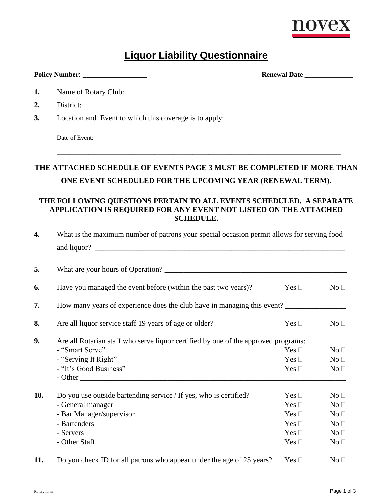

## **Liquor Liability Questionnaire**

| 1.  |                                                                                                                                                             |               |                 |  |  |
|-----|-------------------------------------------------------------------------------------------------------------------------------------------------------------|---------------|-----------------|--|--|
| 2.  |                                                                                                                                                             |               |                 |  |  |
| 3.  | Location and Event to which this coverage is to apply:                                                                                                      |               |                 |  |  |
|     | Date of Event:                                                                                                                                              |               |                 |  |  |
|     | THE ATTACHED SCHEDULE OF EVENTS PAGE 3 MUST BE COMPLETED IF MORE THAN                                                                                       |               |                 |  |  |
|     | ONE EVENT SCHEDULED FOR THE UPCOMING YEAR (RENEWAL TERM).                                                                                                   |               |                 |  |  |
|     | THE FOLLOWING QUESTIONS PERTAIN TO ALL EVENTS SCHEDULED. A SEPARATE<br>APPLICATION IS REQUIRED FOR ANY EVENT NOT LISTED ON THE ATTACHED<br><b>SCHEDULE.</b> |               |                 |  |  |
| 4.  | What is the maximum number of patrons your special occasion permit allows for serving food                                                                  |               |                 |  |  |
|     |                                                                                                                                                             |               |                 |  |  |
| 5.  |                                                                                                                                                             |               |                 |  |  |
| 6.  | Have you managed the event before (within the past two years)?                                                                                              | Yes $\square$ | No <sub>1</sub> |  |  |
| 7.  | How many years of experience does the club have in managing this event?                                                                                     |               |                 |  |  |
| 8.  | Are all liquor service staff 19 years of age or older?                                                                                                      | Yes $\square$ | No <sub>1</sub> |  |  |
| 9.  | Are all Rotarian staff who serve liquor certified by one of the approved programs:                                                                          |               |                 |  |  |
|     | - "Smart Serve"                                                                                                                                             | Yes $\Box$    | No <sub>1</sub> |  |  |
|     | - "Serving It Right"                                                                                                                                        | Yes $\square$ | No <sub>1</sub> |  |  |
|     | - "It's Good Business"<br>- Other                                                                                                                           | Yes $\square$ | No <sub>1</sub> |  |  |
| 10. | Do you use outside bartending service? If yes, who is certified?                                                                                            | Yes $\square$ | No <sub>1</sub> |  |  |
|     | - General manager                                                                                                                                           | Yes $\square$ | No <sub>1</sub> |  |  |
|     | - Bar Manager/supervisor                                                                                                                                    | Yes $\Box$    | No <sub>1</sub> |  |  |
|     | - Bartenders                                                                                                                                                | Yes $\square$ | No <sub>1</sub> |  |  |
|     | - Servers                                                                                                                                                   | Yes $\Box$    | No <sub>1</sub> |  |  |
|     | - Other Staff                                                                                                                                               | Yes $\square$ | No <sub>1</sub> |  |  |
| 11. | Do you check ID for all patrons who appear under the age of 25 years?                                                                                       | Yes $\square$ | No <sub>1</sub> |  |  |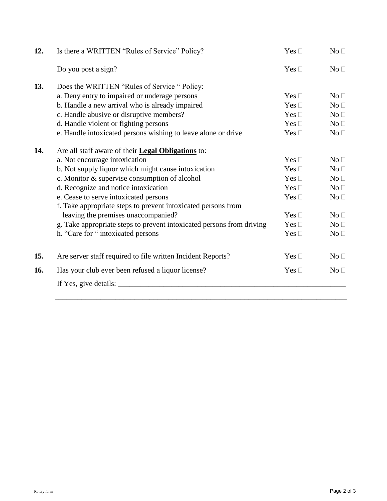| 12. | Is there a WRITTEN "Rules of Service" Policy?                         | Yes $\square$ | No <sub>1</sub> |
|-----|-----------------------------------------------------------------------|---------------|-----------------|
|     | Do you post a sign?                                                   | Yes $\Box$    | No <sub>1</sub> |
| 13. | Does the WRITTEN "Rules of Service "Policy:                           |               |                 |
|     | a. Deny entry to impaired or underage persons                         | Yes $\square$ | No <sub>1</sub> |
|     | b. Handle a new arrival who is already impaired                       | Yes $\square$ | No <sub>1</sub> |
|     | c. Handle abusive or disruptive members?                              | Yes $\square$ | No <sub>1</sub> |
|     | d. Handle violent or fighting persons                                 | Yes $\square$ | No <sub>1</sub> |
|     | e. Handle intoxicated persons wishing to leave alone or drive         | Yes $\Box$    | No <sub>1</sub> |
| 14. | Are all staff aware of their <b>Legal Obligations</b> to:             |               |                 |
|     | a. Not encourage intoxication                                         | Yes $\square$ | No <sub>1</sub> |
|     | b. Not supply liquor which might cause intoxication                   | Yes $\square$ | No <sub>1</sub> |
|     | c. Monitor & supervise consumption of alcohol                         | Yes $\square$ | No <sub>1</sub> |
|     | d. Recognize and notice intoxication                                  | Yes $\square$ | No <sub>1</sub> |
|     | e. Cease to serve intoxicated persons                                 | Yes $\square$ | No <sub>1</sub> |
|     | f. Take appropriate steps to prevent intoxicated persons from         |               |                 |
|     | leaving the premises unaccompanied?                                   | Yes $\square$ | No <sub>1</sub> |
|     | g. Take appropriate steps to prevent intoxicated persons from driving | Yes $\square$ | No <sub>1</sub> |
|     | h. "Care for " intoxicated persons                                    | Yes $\Box$    | No <sub>1</sub> |
| 15. | Are server staff required to file written Incident Reports?           | Yes $\square$ | No <sub>1</sub> |
| 16. | Has your club ever been refused a liquor license?                     | Yes $\square$ | No <sub>1</sub> |
|     | If Yes, give details:                                                 |               |                 |

\_\_\_\_\_\_\_\_\_\_\_\_\_\_\_\_\_\_\_\_\_\_\_\_\_\_\_\_\_\_\_\_\_\_\_\_\_\_\_\_\_\_\_\_\_\_\_\_\_\_\_\_\_\_\_\_\_\_\_\_\_\_\_\_\_\_\_\_\_\_\_\_\_\_\_\_\_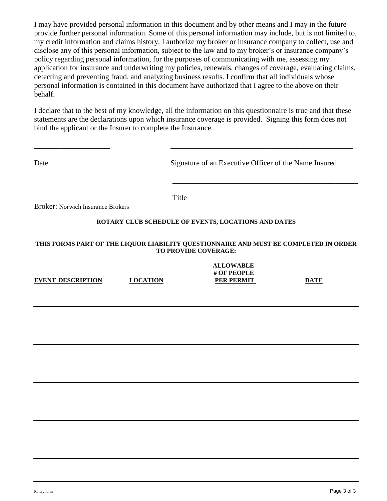I may have provided personal information in this document and by other means and I may in the future provide further personal information. Some of this personal information may include, but is not limited to, my credit information and claims history. I authorize my broker or insurance company to collect, use and disclose any of this personal information, subject to the law and to my broker's or insurance company's policy regarding personal information, for the purposes of communicating with me, assessing my application for insurance and underwriting my policies, renewals, changes of coverage, evaluating claims, detecting and preventing fraud, and analyzing business results. I confirm that all individuals whose personal information is contained in this document have authorized that I agree to the above on their behalf.

I declare that to the best of my knowledge, all the information on this questionnaire is true and that these statements are the declarations upon which insurance coverage is provided. Signing this form does not bind the applicant or the Insurer to complete the Insurance.

\_\_\_\_\_\_\_\_\_\_\_\_\_\_\_\_\_\_\_\_ \_\_\_\_\_\_\_\_\_\_\_\_\_\_\_\_\_\_\_\_\_\_\_\_\_\_\_\_\_\_\_\_\_\_\_\_\_\_\_\_\_\_\_\_\_\_\_\_

Date Signature of an Executive Officer of the Name Insured

\_\_\_\_\_\_\_\_\_\_\_\_\_\_\_\_\_\_\_\_\_\_\_\_\_\_\_\_\_\_\_\_\_\_\_\_\_\_\_\_\_\_\_\_\_\_\_\_\_

Title

Broker: Norwich Insurance Brokers

## **ROTARY CLUB SCHEDULE OF EVENTS, LOCATIONS AND DATES**

## **THIS FORMS PART OF THE LIQUOR LIABILITY QUESTIONNAIRE AND MUST BE COMPLETED IN ORDER TO PROVIDE COVERAGE:**

|                          |                 | <b>ALLOWABLE</b>  |      |
|--------------------------|-----------------|-------------------|------|
|                          |                 | # OF PEOPLE       |      |
| <b>EVENT DESCRIPTION</b> | <b>LOCATION</b> | <b>PER PERMIT</b> | DATE |
|                          |                 |                   |      |